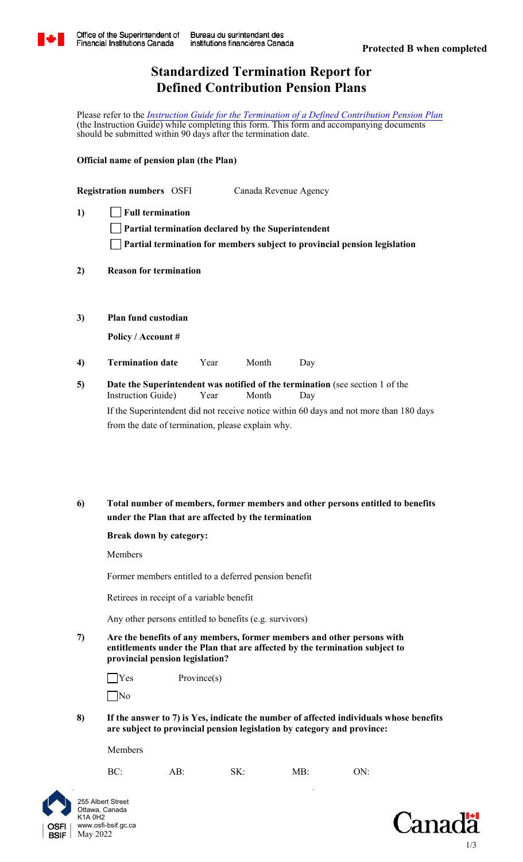

# **Standardized Termination Report for Defined Contribution Pension Plans**

Please refer to the *[Instruction Guide for the Termination of a Defined Contribution Pension Plan](http://www.osfi-bsif.gc.ca/Eng/pp-rr/ppa-rra/trm-css/Pages/dc_term_gde.aspx)* (the Instruction Guide) while completing this form. This form and accompanying documents should be submitted within 90 days after the termination date.

**Official name of pension plan (the Plan)**

|              | <b>Registration numbers</b> OSFI | Canada Revenue Agency                                                            |
|--------------|----------------------------------|----------------------------------------------------------------------------------|
| $\mathbf{D}$ | $\vert$ Full termination         |                                                                                  |
|              |                                  | $\Box$ Partial termination declared by the Superintendent                        |
|              |                                  | $\Box$ Partial termination for members subject to provincial pension legislation |

- **Reason for termination 2)**
- **Plan fund custodian 3)**

**Policy / Account #**

- **Termination date** Year Month Day **4)**
- **Date the Superintendent was notified of the termination** (see section 1 of the Instruction Guide) Year Month Day If the Superintendent did not receive notice within 60 days and not more than 180 days from the date of termination, please explain why. **5)**
- **Total number of members, former members and other persons entitled to benefits under the Plan that are affected by the termination 6)**

# **Break down by category:**

Members

Former members entitled to a deferred pension benefit

Retirees in receipt of a variable benefit

Any other persons entitled to benefits (e.g. survivors)

**7) Are the benefits of any members, former members and other persons with entitlements under the Plan that are affected by the termination subject to provincial pension legislation?** 

BC: AB: SK: MB: ON:

| $\Box$ Yes | Province(s) |
|------------|-------------|
| $\Box$ No  |             |

**8) If the answer to 7) is Yes, indicate the number of affected individuals whose benefits are subject to provincial pension legislation by category and province:** 

OSFI **BSIF** 



Members

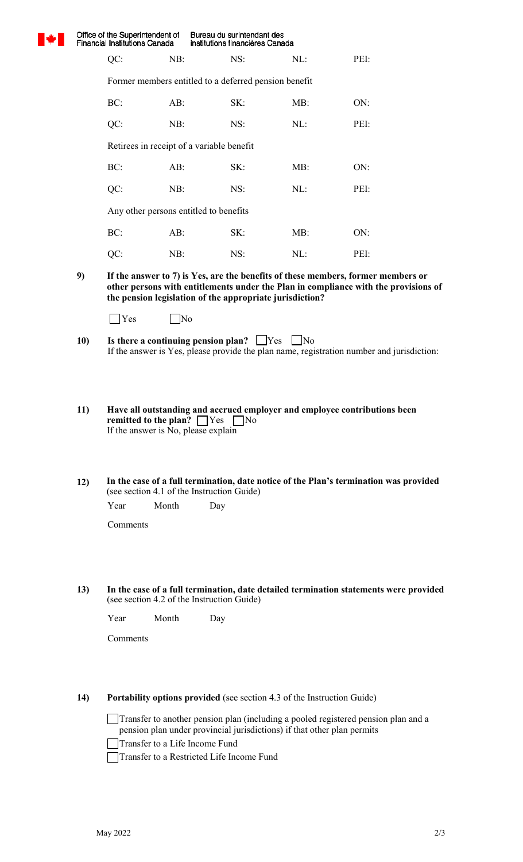

Office of the Superintendent of Bureau du surintendant des Financial Institutions Canada institutions financières Canada

Former members entitled to a deferred pension benefit

| BC:    | AB: | SK: | MB: | ON:  |
|--------|-----|-----|-----|------|
| $QC$ : | NB: | NS: | NL: | PEI: |

QC: NB: NS: NL: PEI:

Retirees in receipt of a variable benefit

| BC: | AB: | SK: | MB: | ON:  |
|-----|-----|-----|-----|------|
| QC: | NB: | NS: | NL: | PEI: |

Any other persons entitled to benefits

| BC: | AB: | SK: | MB: | ON:  |
|-----|-----|-----|-----|------|
| QC: | NB: | NS: | NL: | PEI: |

**9) If the answer to 7) is Yes, are the benefits of these members, former members or other persons with entitlements under the Plan in compliance with the provisions of the pension legislation of the appropriate jurisdiction?**

- If the answer is Yes, please provide the plan name, registration number and jurisdiction: **10)** Is there a continuing pension plan?  $\Box$  Yes  $\Box$  No
- If the answer is No, please explain **11) Have all outstanding and accrued employer and employee contributions been remitted to the plan?** These No
- (see section 4.1 of the Instruction Guide) **In the case of a full termination, date notice of the Plan's termination was provided 12)**

Year Month Day

Comments

(see section 4.2 of the Instruction Guide) **In the case of a full termination, date detailed termination statements were provided 13)** 

Year Month Day

Comments

# **14) Portability options provided** (see section 4.3 of the Instruction Guide)

Transfer to another pension plan (including a pooled registered pension plan and a pension plan under provincial jurisdictions) if that other plan permits

Transfer to a Life Income Fund

Transfer to a Restricted Life Income Fund